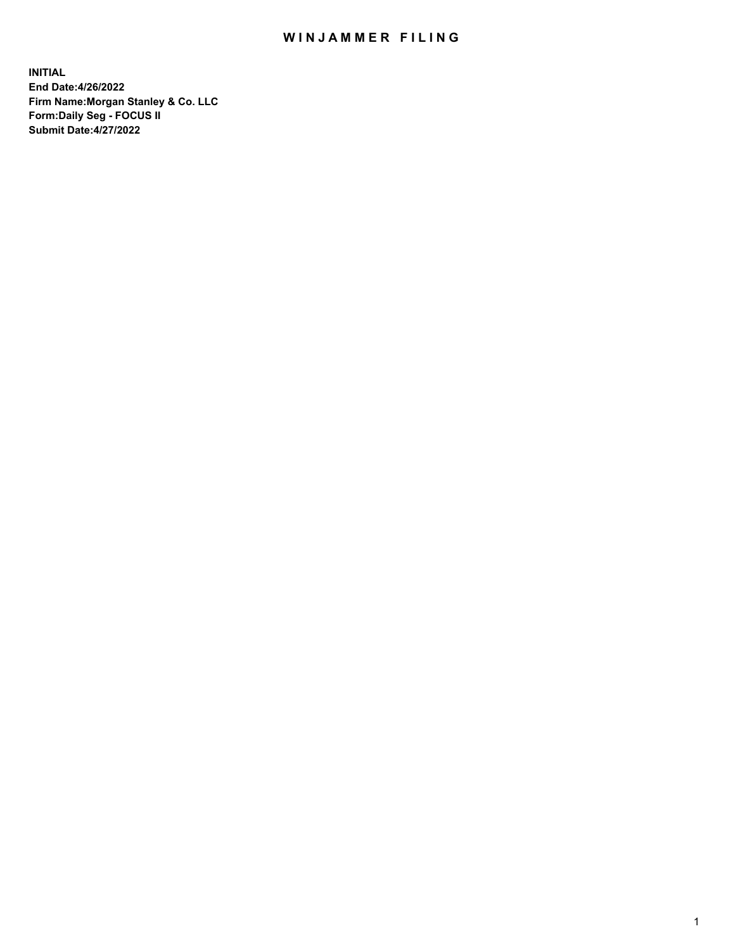## WIN JAMMER FILING

**INITIAL End Date:4/26/2022 Firm Name:Morgan Stanley & Co. LLC Form:Daily Seg - FOCUS II Submit Date:4/27/2022**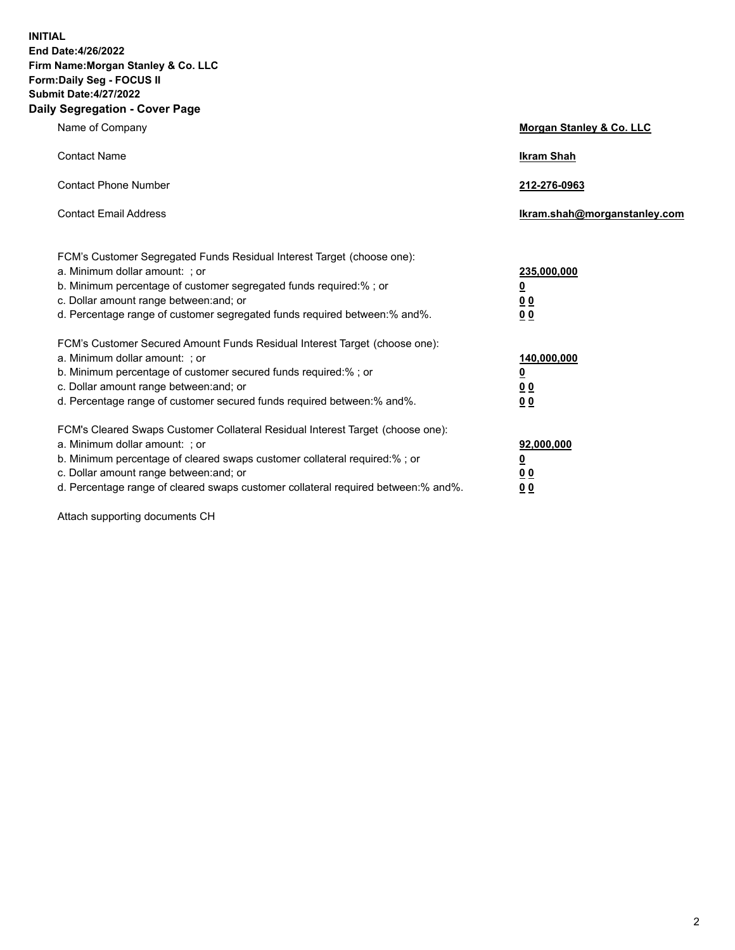**INITIAL End Date:4/26/2022 Firm Name:Morgan Stanley & Co. LLC Form:Daily Seg - FOCUS II Submit Date:4/27/2022 Daily Segregation - Cover Page**

| Name of Company                                                                                                                                                                                                                                                                                                                | Morgan Stanley & Co. LLC                               |
|--------------------------------------------------------------------------------------------------------------------------------------------------------------------------------------------------------------------------------------------------------------------------------------------------------------------------------|--------------------------------------------------------|
| <b>Contact Name</b>                                                                                                                                                                                                                                                                                                            | <b>Ikram Shah</b>                                      |
| <b>Contact Phone Number</b>                                                                                                                                                                                                                                                                                                    | 212-276-0963                                           |
| <b>Contact Email Address</b>                                                                                                                                                                                                                                                                                                   | Ikram.shah@morganstanley.com                           |
| FCM's Customer Segregated Funds Residual Interest Target (choose one):<br>a. Minimum dollar amount: ; or<br>b. Minimum percentage of customer segregated funds required:% ; or<br>c. Dollar amount range between: and; or<br>d. Percentage range of customer segregated funds required between:% and%.                         | 235,000,000<br><u>0</u><br>0 <sup>0</sup><br><u>00</u> |
| FCM's Customer Secured Amount Funds Residual Interest Target (choose one):<br>a. Minimum dollar amount: ; or<br>b. Minimum percentage of customer secured funds required:% ; or<br>c. Dollar amount range between: and; or<br>d. Percentage range of customer secured funds required between:% and%.                           | 140,000,000<br><u>0</u><br><u>00</u><br>00             |
| FCM's Cleared Swaps Customer Collateral Residual Interest Target (choose one):<br>a. Minimum dollar amount: ; or<br>b. Minimum percentage of cleared swaps customer collateral required:% ; or<br>c. Dollar amount range between: and; or<br>d. Percentage range of cleared swaps customer collateral required between:% and%. | 92,000,000<br><u>0</u><br><u>00</u><br>00              |

Attach supporting documents CH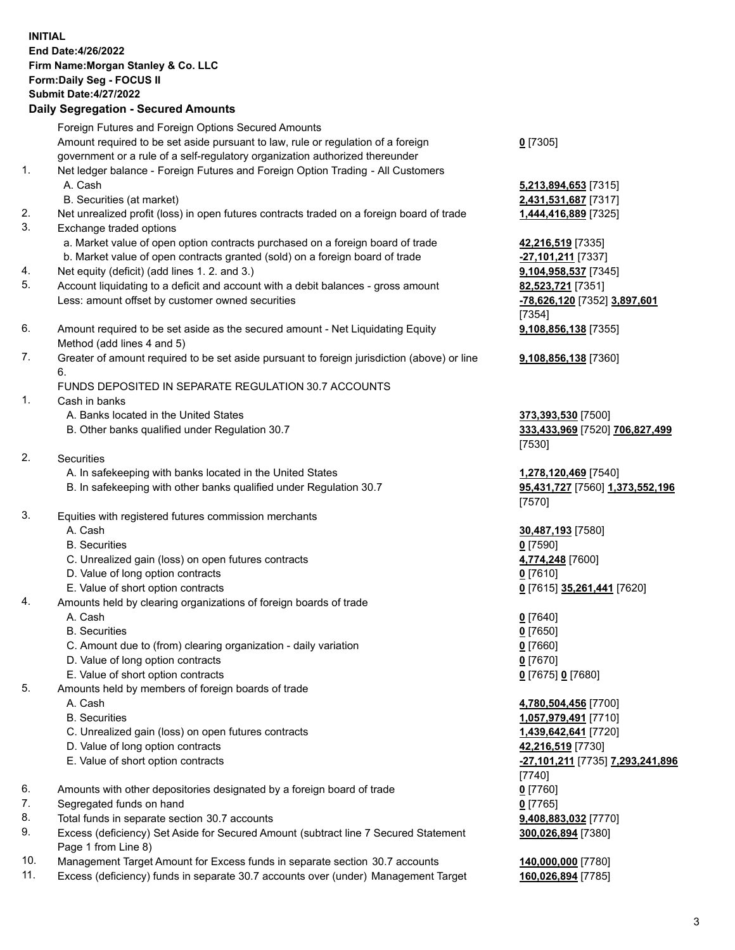| <b>INITIAL</b> | End Date: 4/26/2022<br>Firm Name: Morgan Stanley & Co. LLC<br>Form: Daily Seg - FOCUS II<br><b>Submit Date: 4/27/2022</b><br><b>Daily Segregation - Secured Amounts</b> |                                              |
|----------------|-------------------------------------------------------------------------------------------------------------------------------------------------------------------------|----------------------------------------------|
|                | Foreign Futures and Foreign Options Secured Amounts                                                                                                                     |                                              |
|                | Amount required to be set aside pursuant to law, rule or regulation of a foreign                                                                                        | $0$ [7305]                                   |
|                | government or a rule of a self-regulatory organization authorized thereunder                                                                                            |                                              |
| 1.             | Net ledger balance - Foreign Futures and Foreign Option Trading - All Customers                                                                                         |                                              |
|                | A. Cash<br>B. Securities (at market)                                                                                                                                    | <b>5,213,894,653</b> [7315]                  |
| 2.             | Net unrealized profit (loss) in open futures contracts traded on a foreign board of trade                                                                               | 2,431,531,687 [7317]<br>1,444,416,889 [7325] |
| 3.             | Exchange traded options                                                                                                                                                 |                                              |
|                | a. Market value of open option contracts purchased on a foreign board of trade                                                                                          | 42,216,519 [7335]                            |
|                | b. Market value of open contracts granted (sold) on a foreign board of trade                                                                                            | -27,101,211 [7337]                           |
| 4.             | Net equity (deficit) (add lines 1. 2. and 3.)                                                                                                                           | 9,104,958,537 [7345]                         |
| 5.             | Account liquidating to a deficit and account with a debit balances - gross amount                                                                                       | 82,523,721 [7351]                            |
|                | Less: amount offset by customer owned securities                                                                                                                        | -78,626,120 [7352] 3,897,601<br>[7354]       |
| 6.             | Amount required to be set aside as the secured amount - Net Liquidating Equity                                                                                          | 9,108,856,138 [7355]                         |
|                | Method (add lines 4 and 5)                                                                                                                                              |                                              |
| 7.             | Greater of amount required to be set aside pursuant to foreign jurisdiction (above) or line                                                                             | 9,108,856,138 [7360]                         |
|                | 6.                                                                                                                                                                      |                                              |
| 1.             | FUNDS DEPOSITED IN SEPARATE REGULATION 30.7 ACCOUNTS<br>Cash in banks                                                                                                   |                                              |
|                | A. Banks located in the United States                                                                                                                                   | 373,393,530 [7500]                           |
|                | B. Other banks qualified under Regulation 30.7                                                                                                                          | 333,433,969 [7520] 706,827,499               |
|                |                                                                                                                                                                         | [7530]                                       |
| 2.             | <b>Securities</b>                                                                                                                                                       |                                              |
|                | A. In safekeeping with banks located in the United States                                                                                                               | 1,278,120,469 [7540]                         |
|                | B. In safekeeping with other banks qualified under Regulation 30.7                                                                                                      | 95,431,727 [7560] 1,373,552,196<br>[7570]    |
| 3.             | Equities with registered futures commission merchants                                                                                                                   |                                              |
|                | A. Cash                                                                                                                                                                 | 30,487,193 [7580]                            |
|                | <b>B.</b> Securities                                                                                                                                                    | $0$ [7590]                                   |
|                | C. Unrealized gain (loss) on open futures contracts                                                                                                                     | 4,774,248 [7600]                             |
|                | D. Value of long option contracts<br>E. Value of short option contracts                                                                                                 | $0$ [7610]<br>0 [7615] 35,261,441 [7620]     |
| 4.             | Amounts held by clearing organizations of foreign boards of trade                                                                                                       |                                              |
|                | A. Cash                                                                                                                                                                 | $0$ [7640]                                   |
|                | <b>B.</b> Securities                                                                                                                                                    | $0$ [7650]                                   |
|                | C. Amount due to (from) clearing organization - daily variation                                                                                                         | $0$ [7660]                                   |
|                | D. Value of long option contracts                                                                                                                                       | $0$ [7670]                                   |
| 5.             | E. Value of short option contracts<br>Amounts held by members of foreign boards of trade                                                                                | 0 [7675] 0 [7680]                            |
|                | A. Cash                                                                                                                                                                 | 4,780,504,456 [7700]                         |
|                | <b>B.</b> Securities                                                                                                                                                    | 1,057,979,491 [7710]                         |
|                | C. Unrealized gain (loss) on open futures contracts                                                                                                                     | 1,439,642,641 [7720]                         |
|                | D. Value of long option contracts                                                                                                                                       | 42,216,519 [7730]                            |
|                | E. Value of short option contracts                                                                                                                                      | -27,101,211 [7735] 7,293,241,896             |
| 6.             |                                                                                                                                                                         | [7740]<br>$0$ [7760]                         |
| 7.             | Amounts with other depositories designated by a foreign board of trade<br>Segregated funds on hand                                                                      | $0$ [7765]                                   |
| 8.             | Total funds in separate section 30.7 accounts                                                                                                                           | 9,408,883,032 [7770]                         |
| 9.             | Excess (deficiency) Set Aside for Secured Amount (subtract line 7 Secured Statement                                                                                     | 300,026,894 [7380]                           |

- 9. Excess (deficiency) Set Aside for Secured Amount (subtract line 7 Secured Statement Page 1 from Line 8)
- 10. Management Target Amount for Excess funds in separate section 30.7 accounts **140,000,000** [7780]
- 11. Excess (deficiency) funds in separate 30.7 accounts over (under) Management Target **160,026,894** [7785]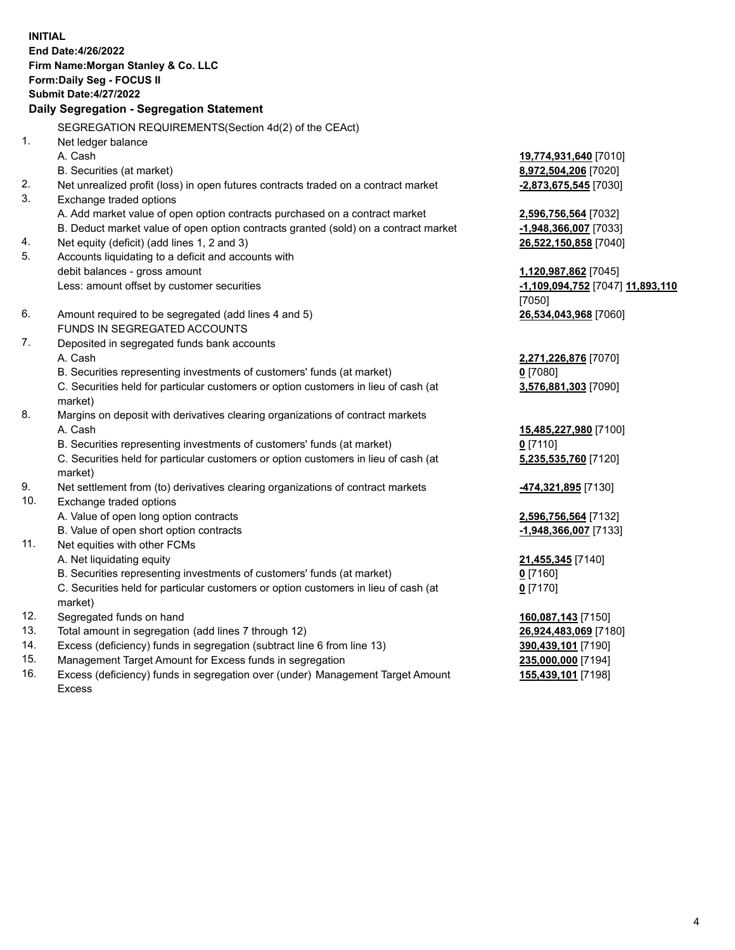**INITIAL End Date:4/26/2022 Firm Name:Morgan Stanley & Co. LLC Form:Daily Seg - FOCUS II Submit Date:4/27/2022 Daily Segregation - Segregation Statement** SEGREGATION REQUIREMENTS(Section 4d(2) of the CEAct) 1. Net ledger balance A. Cash **19,774,931,640** [7010] B. Securities (at market) **8,972,504,206** [7020] 2. Net unrealized profit (loss) in open futures contracts traded on a contract market **-2,873,675,545** [7030] 3. Exchange traded options A. Add market value of open option contracts purchased on a contract market **2,596,756,564** [7032] B. Deduct market value of open option contracts granted (sold) on a contract market **-1,948,366,007** [7033] 4. Net equity (deficit) (add lines 1, 2 and 3) **26,522,150,858** [7040] 5. Accounts liquidating to a deficit and accounts with debit balances - gross amount **1,120,987,862** [7045] Less: amount offset by customer securities **-1,109,094,752** [7047] **11,893,110** [7050] 6. Amount required to be segregated (add lines 4 and 5) **26,534,043,968** [7060] FUNDS IN SEGREGATED ACCOUNTS 7. Deposited in segregated funds bank accounts A. Cash **2,271,226,876** [7070] B. Securities representing investments of customers' funds (at market) **0** [7080] C. Securities held for particular customers or option customers in lieu of cash (at market) **3,576,881,303** [7090] 8. Margins on deposit with derivatives clearing organizations of contract markets A. Cash **15,485,227,980** [7100] B. Securities representing investments of customers' funds (at market) **0** [7110] C. Securities held for particular customers or option customers in lieu of cash (at market) **5,235,535,760** [7120] 9. Net settlement from (to) derivatives clearing organizations of contract markets **-474,321,895** [7130] 10. Exchange traded options A. Value of open long option contracts **2,596,756,564** [7132] B. Value of open short option contracts **-1,948,366,007** [7133] 11. Net equities with other FCMs A. Net liquidating equity **21,455,345** [7140] B. Securities representing investments of customers' funds (at market) **0** [7160] C. Securities held for particular customers or option customers in lieu of cash (at market) **0** [7170] 12. Segregated funds on hand **160,087,143** [7150] 13. Total amount in segregation (add lines 7 through 12) **26,924,483,069** [7180] 14. Excess (deficiency) funds in segregation (subtract line 6 from line 13) **390,439,101** [7190] 15. Management Target Amount for Excess funds in segregation **235,000,000** [7194]

16. Excess (deficiency) funds in segregation over (under) Management Target Amount Excess

**155,439,101** [7198]